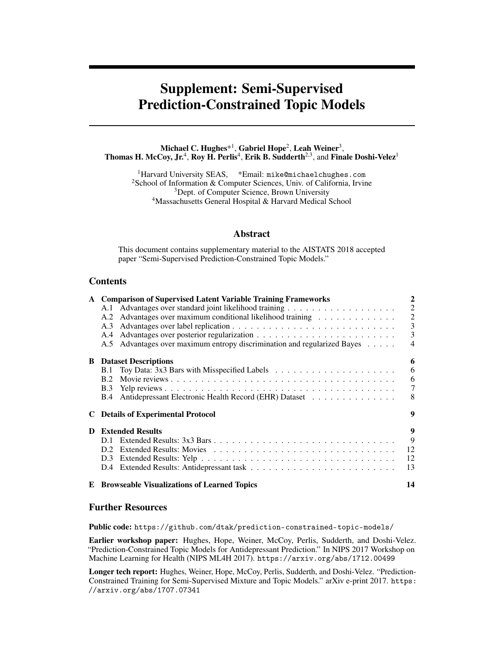# Supplement: Semi-Supervised Prediction-Constrained Topic Models

Michael C. Hughes $^{\ast1}$ , Gabriel Hope<sup>2</sup>, Leah Weiner $^3,$ Thomas H. McCoy, Jr.<sup>4</sup>, Roy H. Perlis<sup>4</sup>, Erik B. Sudderth<sup>2,3</sup>, and Finale Doshi-Velez<sup>1</sup>

<sup>1</sup>Harvard University SEAS, \*Email: mike@michaelchughes.com <sup>2</sup>School of Information & Computer Sciences, Univ. of California, Irvine <sup>3</sup>Dept. of Computer Science, Brown University <sup>4</sup>Massachusetts General Hospital & Harvard Medical School

## Abstract

This document contains supplementary material to the AISTATS 2018 accepted paper "Semi-Supervised Prediction-Constrained Topic Models."

# **Contents**

|   | A Comparison of Supervised Latent Variable Training Frameworks           | 2              |
|---|--------------------------------------------------------------------------|----------------|
|   |                                                                          | $\overline{2}$ |
|   | Advantages over maximum conditional likelihood training<br>A.2           | $\overline{2}$ |
|   | A.3                                                                      | 3              |
|   | A.4                                                                      | 3              |
|   | A.5 Advantages over maximum entropy discrimination and regularized Bayes | 4              |
|   | <b>B</b> Dataset Descriptions                                            | 6              |
|   | B.1                                                                      | 6              |
|   | <b>B.2</b>                                                               | 6              |
|   | <b>B.3</b>                                                               | 7              |
|   | Antidepressant Electronic Health Record (EHR) Dataset<br><b>B.4</b>      | 8              |
|   | <b>C</b> Details of Experimental Protocol                                | 9              |
| D | <b>Extended Results</b>                                                  | 9              |
|   | D.I.                                                                     | 9              |
|   | D. <sub>2</sub>                                                          | 12             |
|   | D.3                                                                      | 12             |
|   | D.4                                                                      | 13             |
|   | <b>E</b> Browseable Visualizations of Learned Topics                     | 14             |

# Further Resources

Public code: <https://github.com/dtak/prediction-constrained-topic-models/>

Earlier workshop paper: Hughes, Hope, Weiner, McCoy, Perlis, Sudderth, and Doshi-Velez. "Prediction-Constrained Topic Models for Antidepressant Prediction." In NIPS 2017 Workshop on Machine Learning for Health (NIPS ML4H 2017). <https://arxiv.org/abs/1712.00499>

Longer tech report: Hughes, Weiner, Hope, McCoy, Perlis, Sudderth, and Doshi-Velez. "Prediction-Constrained Training for Semi-Supervised Mixture and Topic Models." arXiv e-print 2017. [https:](https://arxiv.org/abs/1707.07341) [//arxiv.org/abs/1707.07341](https://arxiv.org/abs/1707.07341)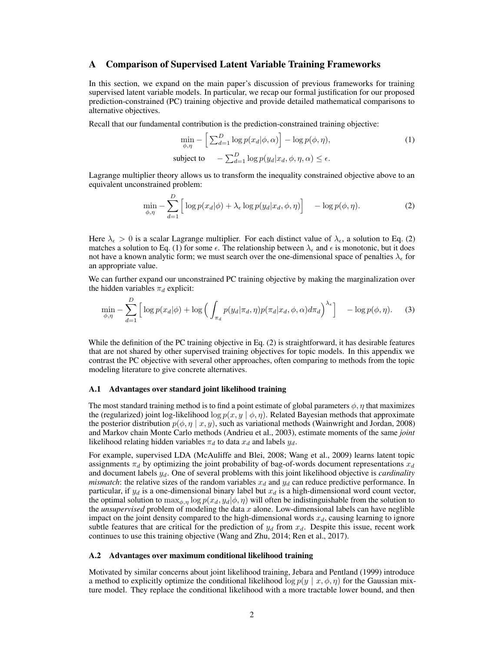## <span id="page-1-0"></span>A Comparison of Supervised Latent Variable Training Frameworks

In this section, we expand on the main paper's discussion of previous frameworks for training supervised latent variable models. In particular, we recap our formal justification for our proposed prediction-constrained (PC) training objective and provide detailed mathematical comparisons to alternative objectives.

Recall that our fundamental contribution is the prediction-constrained training objective:

<span id="page-1-4"></span><span id="page-1-3"></span>
$$
\min_{\phi,\eta} - \left[ \sum_{d=1}^{D} \log p(x_d | \phi, \alpha) \right] - \log p(\phi, \eta),
$$
\n
$$
\text{subject to} \quad -\sum_{d=1}^{D} \log p(y_d | x_d, \phi, \eta, \alpha) \le \epsilon.
$$
\n(1)

Lagrange multiplier theory allows us to transform the inequality constrained objective above to an equivalent unconstrained problem:

<span id="page-1-5"></span>
$$
\min_{\phi,\eta} - \sum_{d=1}^{D} \left[ \log p(x_d | \phi) + \lambda_{\epsilon} \log p(y_d | x_d, \phi, \eta) \right] - \log p(\phi, \eta). \tag{2}
$$

Here  $\lambda_{\epsilon} > 0$  is a scalar Lagrange multiplier. For each distinct value of  $\lambda_{\epsilon}$ , a solution to Eq. [\(2\)](#page-1-3) matches a solution to Eq. [\(1\)](#page-1-4) for some  $\epsilon$ . The relationship between  $\lambda_{\epsilon}$  and  $\epsilon$  is monotonic, but it does not have a known analytic form; we must search over the one-dimensional space of penalties  $\lambda_{\epsilon}$  for an appropriate value.

We can further expand our unconstrained PC training objective by making the marginalization over the hidden variables  $\pi_d$  explicit:

$$
\min_{\phi,\eta} - \sum_{d=1}^{D} \left[ \log p(x_d|\phi) + \log \left( \int_{\pi_d} p(y_d|\pi_d, \eta) p(\pi_d|x_d, \phi, \alpha) d\pi_d \right)^{\lambda_{\epsilon}} \right] - \log p(\phi, \eta). \tag{3}
$$

While the definition of the PC training objective in Eq. [\(2\)](#page-1-3) is straightforward, it has desirable features that are not shared by other supervised training objectives for topic models. In this appendix we contrast the PC objective with several other approaches, often comparing to methods from the topic modeling literature to give concrete alternatives.

#### <span id="page-1-1"></span>A.1 Advantages over standard joint likelihood training

The most standard training method is to find a point estimate of global parameters  $\phi$ ,  $\eta$  that maximizes the (regularized) joint log-likelihood  $\log p(x, y \mid \phi, \eta)$ . Related Bayesian methods that approximate the posterior distribution  $p(\phi, \eta \mid x, y)$ , such as variational methods [\(Wainwright and Jordan,](#page-14-0) [2008\)](#page-14-0) and Markov chain Monte Carlo methods [\(Andrieu et al.,](#page-14-1) [2003\)](#page-14-1), estimate moments of the same *joint* likelihood relating hidden variables  $\pi_d$  to data  $x_d$  and labels  $y_d$ .

For example, supervised LDA [\(McAuliffe and Blei,](#page-14-2) [2008;](#page-14-2) [Wang et al.,](#page-14-3) [2009\)](#page-14-3) learns latent topic assignments  $\pi_d$  by optimizing the joint probability of bag-of-words document representations  $x_d$ and document labels  $y_d$ . One of several problems with this joint likelihood objective is *cardinality mismatch*: the relative sizes of the random variables  $x_d$  and  $y_d$  can reduce predictive performance. In particular, if  $y_d$  is a one-dimensional binary label but  $x_d$  is a high-dimensional word count vector, the optimal solution to  $\max_{\phi,\eta} \log p(x_d, y_d | \phi, \eta)$  will often be indistinguishable from the solution to the *unsupervised* problem of modeling the data  $x$  alone. Low-dimensional labels can have neglible impact on the joint density compared to the high-dimensional words  $x_d$ , causing learning to ignore subtle features that are critical for the prediction of  $y_d$  from  $x_d$ . Despite this issue, recent work continues to use this training objective [\(Wang and Zhu,](#page-14-4) [2014;](#page-14-4) [Ren et al.,](#page-14-5) [2017\)](#page-14-5).

#### <span id="page-1-2"></span>A.2 Advantages over maximum conditional likelihood training

Motivated by similar concerns about joint likelihood training, [Jebara and Pentland](#page-14-6) [\(1999\)](#page-14-6) introduce a method to explicitly optimize the conditional likelihood  $\log p(y | x, \phi, \eta)$  for the Gaussian mixture model. They replace the conditional likelihood with a more tractable lower bound, and then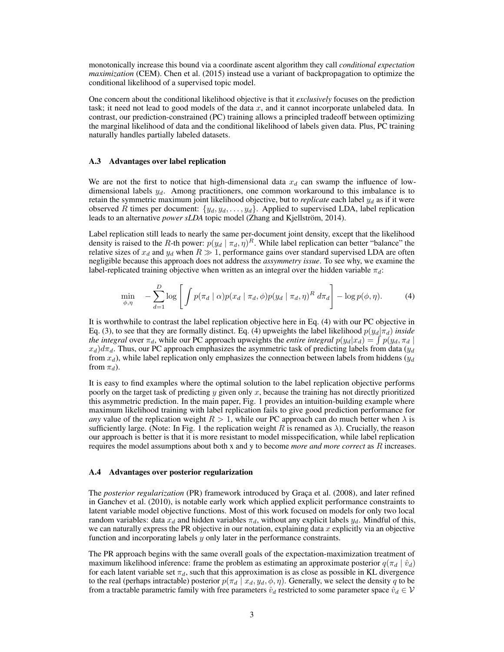monotonically increase this bound via a coordinate ascent algorithm they call *conditional expectation maximization* (CEM). [Chen et al.](#page-14-7) [\(2015\)](#page-14-7) instead use a variant of backpropagation to optimize the conditional likelihood of a supervised topic model.

One concern about the conditional likelihood objective is that it *exclusively* focuses on the prediction task; it need not lead to good models of the data  $x$ , and it cannot incorporate unlabeled data. In contrast, our prediction-constrained (PC) training allows a principled tradeoff between optimizing the marginal likelihood of data and the conditional likelihood of labels given data. Plus, PC training naturally handles partially labeled datasets.

#### <span id="page-2-0"></span>A.3 Advantages over label replication

We are not the first to notice that high-dimensional data  $x<sub>d</sub>$  can swamp the influence of lowdimensional labels  $y_d$ . Among practitioners, one common workaround to this imbalance is to retain the symmetric maximum joint likelihood objective, but to *replicate* each label  $y_d$  as if it were observed R times per document:  $\{y_d, y_d, \ldots, y_d\}$ . Applied to supervised LDA, label replication leads to an alternative *power sLDA* topic model [\(Zhang and Kjellström,](#page-14-8) [2014\)](#page-14-8).

Label replication still leads to nearly the same per-document joint density, except that the likelihood density is raised to the R-th power:  $p(y_d | \pi_d, \eta)^R$ . While label replication can better "balance" the relative sizes of  $x_d$  and  $y_d$  when  $R \gg 1$ , performance gains over standard supervised LDA are often negligible because this approach does not address the *assymmetry issue*. To see why, we examine the label-replicated training objective when written as an integral over the hidden variable  $\pi_d$ :

<span id="page-2-2"></span>
$$
\min_{\phi,\eta} \quad -\sum_{d=1}^{D} \log \left[ \int p(\pi_d \mid \alpha) p(x_d \mid \pi_d, \phi) p(y_d \mid \pi_d, \eta)^R d\pi_d \right] - \log p(\phi, \eta). \tag{4}
$$

It is worthwhile to contrast the label replication objective here in Eq. [\(4\)](#page-2-2) with our PC objective in Eq. [\(3\)](#page-1-5), to see that they are formally distinct. Eq. [\(4\)](#page-2-2) upweights the label likelihood  $p(y_d|\pi_d)$  *inside the integral* over  $\pi_d$ , while our PC approach upweights the *entire integral*  $p(y_d|x_d) = \int p(y_d, \pi_d |$  $x_d$ )d $\pi_d$ . Thus, our PC approach emphasizes the asymmetric task of predicting labels from data ( $y_d$ ) from  $x_d$ ), while label replication only emphasizes the connection between labels from hiddens ( $y_d$ ) from  $\pi_d$ ).

It is easy to find examples where the optimal solution to the label replication objective performs poorly on the target task of predicting  $y$  given only  $x$ , because the training has not directly prioritized this asymmetric prediction. In the main paper, Fig. 1 provides an intuition-building example where maximum likelihood training with label replication fails to give good prediction performance for *any* value of the replication weight  $R > 1$ , while our PC approach can do much better when  $\lambda$  is sufficiently large. (Note: In Fig. 1 the replication weight R is renamed as  $\lambda$ ). Crucially, the reason our approach is better is that it is more resistant to model misspecification, while label replication requires the model assumptions about both x and y to become *more and more correct* as R increases.

#### <span id="page-2-1"></span>A.4 Advantages over posterior regularization

The *posterior regularization* (PR) framework introduced by [Graça et al.](#page-14-9) [\(2008\)](#page-14-9), and later refined in [Ganchev et al.](#page-14-10) [\(2010\)](#page-14-10), is notable early work which applied explicit performance constraints to latent variable model objective functions. Most of this work focused on models for only two local random variables: data  $x_d$  and hidden variables  $\pi_d$ , without any explicit labels  $y_d$ . Mindful of this, we can naturally express the PR objective in our notation, explaining data  $x$  explicitly via an objective function and incorporating labels  $y$  only later in the performance constraints.

The PR approach begins with the same overall goals of the expectation-maximization treatment of maximum likelihood inference: frame the problem as estimating an approximate posterior  $q(\pi_d | \hat{v}_d)$ for each latent variable set  $\pi_d$ , such that this approximation is as close as possible in KL divergence to the real (perhaps intractable) posterior  $p(\pi_d | x_d, y_d, \phi, \eta)$ . Generally, we select the density q to be from a tractable parametric family with free parameters  $\hat{v}_d$  restricted to some parameter space  $\hat{v}_d \in V$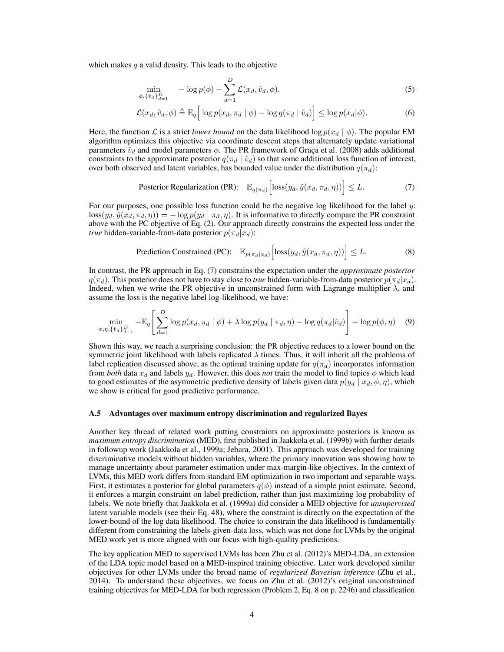which makes  $q$  a valid density. This leads to the objective

<span id="page-3-2"></span>
$$
\min_{\phi, \{\hat{v}_d\}_{d=1}^D} \quad -\log p(\phi) - \sum_{d=1}^D \mathcal{L}(x_d, \hat{v}_d, \phi), \tag{5}
$$

$$
\mathcal{L}(x_d, \hat{v}_d, \phi) \triangleq \mathbb{E}_q \Big[ \log p(x_d, \pi_d \mid \phi) - \log q(\pi_d \mid \hat{v}_d) \Big] \leq \log p(x_d | \phi). \tag{6}
$$

Here, the function L is a strict *lower bound* on the data likelihood  $\log p(x_d | \phi)$ . The popular EM algorithm optimizes this objective via coordinate descent steps that alternately update variational parameters  $\hat{v}_d$  and model parameters  $\phi$ . The PR framework of [Graça et al.](#page-14-9) [\(2008\)](#page-14-9) adds additional constraints to the approximate posterior  $q(\pi_d | \hat{v}_d)$  so that some additional loss function of interest, over both observed and latent variables, has bounded value under the distribution  $q(\pi_d)$ :

<span id="page-3-1"></span>Posterior Regulation (PR): 
$$
\mathbb{E}_{q(\pi_d)} \left[ \text{loss}(y_d, \hat{y}(x_d, \pi_d, \eta)) \right] \leq L.
$$
 (7)

For our purposes, one possible loss function could be the negative log likelihood for the label  $y$ :  $\log(y_d, \hat{y}(x_d, \pi_d, \eta)) = -\log p(y_d | \pi_d, \eta)$ . It is informative to directly compare the PR constraint above with the PC objective of Eq. [\(2\)](#page-1-3). Our approach directly constrains the expected loss under the *true* hidden-variable-from-data posterior  $p(\pi_d|x_d)$ :

$$
\text{ Prediction Constrained (PC):} \quad \mathbb{E}_{p(\pi_d|x_d)} \Big[ \text{loss}(y_d, \hat{y}(x_d, \pi_d, \eta)) \Big] \le L. \tag{8}
$$

In contrast, the PR approach in Eq. [\(7\)](#page-3-1) constrains the expectation under the *approximate posterior*  $q(\pi_d)$ . This posterior does not have to stay close to *true* hidden-variable-from-data posterior  $p(\pi_d|x_d)$ . Indeed, when we write the PR objective in unconstrained form with Lagrange multiplier  $\lambda$ , and assume the loss is the negative label log-likelihood, we have:

$$
\min_{\phi,\eta,\{\hat{v}_d\}_{d=1}^D} -\mathbb{E}_q \left[ \sum_{d=1}^D \log p(x_d, \pi_d \mid \phi) + \lambda \log p(y_d \mid \pi_d, \eta) - \log q(\pi_d | \hat{v}_d) \right] - \log p(\phi, \eta) \quad (9)
$$

Shown this way, we reach a surprising conclusion: the PR objective reduces to a lower bound on the symmetric joint likelihood with labels replicated  $\lambda$  times. Thus, it will inherit all the problems of label replication discussed above, as the optimal training update for  $q(\pi_d)$  incorporates information from *both* data  $x_d$  and labels  $y_d$ . However, this does *not* train the model to find topics  $\phi$  which lead to good estimates of the asymmetric predictive density of labels given data  $p(y_d | x_d, \phi, \eta)$ , which we show is critical for good predictive performance.

#### <span id="page-3-0"></span>A.5 Advantages over maximum entropy discrimination and regularized Bayes

Another key thread of related work putting constraints on approximate posteriors is known as *maximum entropy discrimination* (MED), first published in [Jaakkola et al.](#page-14-11) [\(1999b\)](#page-14-11) with further details in followup work [\(Jaakkola et al.,](#page-14-12) [1999a;](#page-14-12) [Jebara,](#page-14-13) [2001\)](#page-14-13). This approach was developed for training discriminative models without hidden variables, where the primary innovation was showing how to manage uncertainty about parameter estimation under max-margin-like objectives. In the context of LVMs, this MED work differs from standard EM optimization in two important and separable ways. First, it estimates a posterior for global parameters  $q(\phi)$  instead of a simple point estimate. Second, it enforces a margin constraint on label prediction, rather than just maximizing log probability of labels. We note briefly that [Jaakkola et al.](#page-14-12) [\(1999a\)](#page-14-12) did consider a MED objective for *unsupervised* latent variable models (see their Eq. 48), where the constraint is directly on the expectation of the lower-bound of the log data likelihood. The choice to constrain the data likelihood is fundamentally different from constraining the labels-given-data loss, which was not done for LVMs by the original MED work yet is more aligned with our focus with high-quality predictions.

The key application MED to supervised LVMs has been [Zhu et al.](#page-14-14) [\(2012\)](#page-14-14)'s MED-LDA, an extension of the LDA topic model based on a MED-inspired training objective. Later work developed similar objectives for other LVMs under the broad name of *regularized Bayesian inference* [\(Zhu et al.,](#page-14-15) [2014\)](#page-14-15). To understand these objectives, we focus on [Zhu et al.](#page-14-14) [\(2012\)](#page-14-14)'s original unconstrained training objectives for MED-LDA for both regression (Problem 2, Eq. 8 on p. 2246) and classification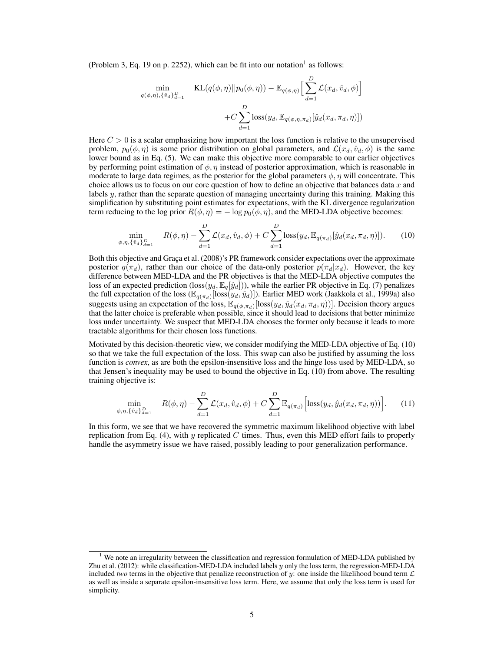(Problem 3, Eq. [1](#page-4-0)9 on p. 2252), which can be fit into our notation<sup>1</sup> as follows:

$$
\min_{q(\phi,\eta),\{\hat{v}_d\}_{d=1}^D} \quad \text{KL}(q(\phi,\eta)||p_0(\phi,\eta)) - \mathbb{E}_{q(\phi,\eta)} \Big[\sum_{d=1}^D \mathcal{L}(x_d, \hat{v}_d, \phi)\Big] + C \sum_{d=1}^D \text{loss}(y_d, \mathbb{E}_{q(\phi,\eta,\pi_d)}[\hat{y}_d(x_d, \pi_d, \eta)])
$$

Here  $C > 0$  is a scalar emphasizing how important the loss function is relative to the unsupervised problem,  $p_0(\phi, \eta)$  is some prior distribution on global parameters, and  $\mathcal{L}(x_d, \hat{v}_d, \phi)$  is the same lower bound as in Eq. [\(5\)](#page-3-2). We can make this objective more comparable to our earlier objectives by performing point estimation of  $\phi$ ,  $\eta$  instead of posterior approximation, which is reasonable in moderate to large data regimes, as the posterior for the global parameters  $\phi$ ,  $\eta$  will concentrate. This choice allows us to focus on our core question of how to define an objective that balances data  $x$  and labels y, rather than the separate question of managing uncertainty during this training. Making this simplification by substituting point estimates for expectations, with the KL divergence regularization term reducing to the log prior  $R(\phi, \eta) = -\log p_0(\phi, \eta)$ , and the MED-LDA objective becomes:

<span id="page-4-1"></span>
$$
\min_{\phi,\eta,\{\hat{v}_d\}_{d=1}^D} \quad R(\phi,\eta) - \sum_{d=1}^D \mathcal{L}(x_d,\hat{v}_d,\phi) + C \sum_{d=1}^D \text{loss}(y_d, \mathbb{E}_{q(\pi_d)}[\hat{y}_d(x_d, \pi_d, \eta)]). \tag{10}
$$

Both this objective and [Graça et al.](#page-14-9) [\(2008\)](#page-14-9)'s PR framework consider expectations over the approximate posterior  $q(\pi_d)$ , rather than our choice of the data-only posterior  $p(\pi_d|x_d)$ . However, the key difference between MED-LDA and the PR objectives is that the MED-LDA objective computes the loss of an expected prediction (loss $(y_d, \mathbb{E}_q[\hat{y}_d])$ ), while the earlier PR objective in Eq. [\(7\)](#page-3-1) penalizes the full expectation of the loss  $(\mathbb{E}_{q(\pi_d)}[loss(y_d, \hat{y}_d)])$ . Earlier MED work [\(Jaakkola et al.,](#page-14-12) [1999a\)](#page-14-12) also suggests using an expectation of the loss,  $\mathbb{E}_{q(\phi,\pi_d)}[\text{loss}(y_d,\hat{y}_d(x_d,\pi_d,\eta))]$ . Decision theory argues that the latter choice is preferable when possible, since it should lead to decisions that better minimize loss under uncertainty. We suspect that MED-LDA chooses the former only because it leads to more tractable algorithms for their chosen loss functions.

Motivated by this decision-theoretic view, we consider modifying the MED-LDA objective of Eq. [\(10\)](#page-4-1) so that we take the full expectation of the loss. This swap can also be justified by assuming the loss function is *convex*, as are both the epsilon-insensitive loss and the hinge loss used by MED-LDA, so that Jensen's inequality may be used to bound the objective in Eq. [\(10\)](#page-4-1) from above. The resulting training objective is:

$$
\min_{\phi,\eta,\{\hat{v}_d\}_{d=1}^D} \quad R(\phi,\eta) - \sum_{d=1}^D \mathcal{L}(x_d,\hat{v}_d,\phi) + C \sum_{d=1}^D \mathbb{E}_{q(\pi_d)} \Big[ \text{loss}(y_d,\hat{y}_d(x_d,\pi_d,\eta)) \Big]. \tag{11}
$$

In this form, we see that we have recovered the symmetric maximum likelihood objective with label replication from Eq. [\(4\)](#page-2-2), with  $y$  replicated  $C$  times. Thus, even this MED effort fails to properly handle the asymmetry issue we have raised, possibly leading to poor generalization performance.

<span id="page-4-0"></span><sup>&</sup>lt;sup>1</sup> We note an irregularity between the classification and regression formulation of MED-LDA published by [Zhu et al.](#page-14-14) [\(2012\)](#page-14-14): while classification-MED-LDA included labels y only the loss term, the regression-MED-LDA included *two* terms in the objective that penalize reconstruction of y: one inside the likelihood bound term  $\mathcal L$ as well as inside a separate epsilon-insensitive loss term. Here, we assume that only the loss term is used for simplicity.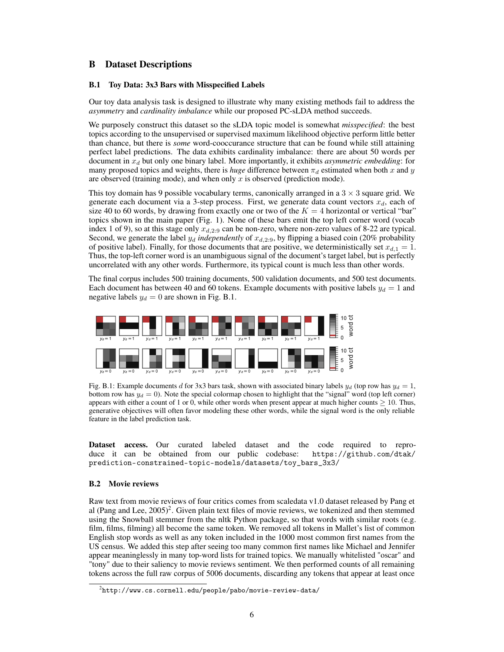# <span id="page-5-0"></span>B Dataset Descriptions

## <span id="page-5-1"></span>B.1 Toy Data: 3x3 Bars with Misspecified Labels

Our toy data analysis task is designed to illustrate why many existing methods fail to address the *asymmetry* and *cardinality imbalance* while our proposed PC-sLDA method succeeds.

We purposely construct this dataset so the sLDA topic model is somewhat *misspecified*: the best topics according to the unsupervised or supervised maximum likelihood objective perform little better than chance, but there is *some* word-cooccurance structure that can be found while still attaining perfect label predictions. The data exhibits cardinality imbalance: there are about 50 words per document in  $x_d$  but only one binary label. More importantly, it exhibits *asymmetric embedding*: for many proposed topics and weights, there is *huge* difference between  $\pi_d$  estimated when both x and y are observed (training mode), and when only  $x$  is observed (prediction mode).

This toy domain has 9 possible vocabulary terms, canonically arranged in a  $3 \times 3$  square grid. We generate each document via a 3-step process. First, we generate data count vectors  $x_d$ , each of size 40 to 60 words, by drawing from exactly one or two of the  $K = 4$  horizontal or vertical "bar" topics shown in the main paper (Fig. 1). None of these bars emit the top left corner word (vocab index 1 of 9), so at this stage only  $x_{d,2:9}$  can be non-zero, where non-zero values of 8-22 are typical. Second, we generate the label  $y_d$  *independently* of  $x_{d,2:9}$ , by flipping a biased coin (20% probability of positive label). Finally, for those documents that are positive, we deterministically set  $x_{d,1} = 1$ . Thus, the top-left corner word is an unambiguous signal of the document's target label, but is perfectly uncorrelated with any other words. Furthermore, its typical count is much less than other words.

The final corpus includes 500 training documents, 500 validation documents, and 500 test documents. Each document has between 40 and 60 tokens. Example documents with positive labels  $y_d = 1$  and negative labels  $y_d = 0$  are shown in Fig. [B.1.](#page-5-3)

<span id="page-5-3"></span>

Fig. B.1: Example documents d for 3x3 bars task, shown with associated binary labels  $y_d$  (top row has  $y_d = 1$ , bottom row has  $y_d = 0$ ). Note the special colormap chosen to highlight that the "signal" word (top left corner) appears with either a count of 1 or 0, while other words when present appear at much higher counts  $\geq 10$ . Thus, generative objectives will often favor modeling these other words, while the signal word is the only reliable feature in the label prediction task.

Dataset access. Our curated labeled dataset and the code required to reproduce it can be obtained from our public codebase: [https://github.com/dtak/](https://github.com/dtak/prediction-constrained-topic-models/datasets/toy_bars_3x3/) [prediction-constrained-topic-models/datasets/toy\\_bars\\_3x3/](https://github.com/dtak/prediction-constrained-topic-models/datasets/toy_bars_3x3/)

## <span id="page-5-2"></span>B.2 Movie reviews

Raw text from movie reviews of four critics comes from scaledata v1.0 dataset released by Pang et al [\(Pang and Lee,](#page-14-16)  $2005$  $2005$ )<sup>2</sup>. Given plain text files of movie reviews, we tokenized and then stemmed using the Snowball stemmer from the nltk Python package, so that words with similar roots (e.g. film, films, filming) all become the same token. We removed all tokens in Mallet's list of common English stop words as well as any token included in the 1000 most common first names from the US census. We added this step after seeing too many common first names like Michael and Jennifer appear meaninglessly in many top-word lists for trained topics. We manually whitelisted "oscar" and "tony" due to their saliency to movie reviews sentiment. We then performed counts of all remaining tokens across the full raw corpus of 5006 documents, discarding any tokens that appear at least once

<span id="page-5-4"></span> $^2$ <http://www.cs.cornell.edu/people/pabo/movie-review-data/>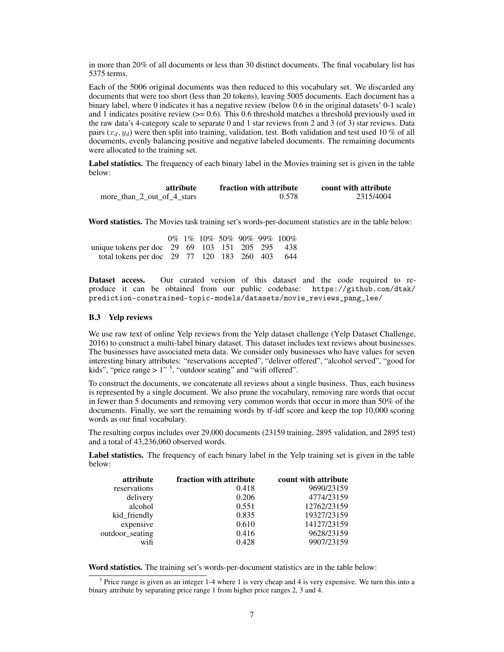in more than 20% of all documents or less than 30 distinct documents. The final vocabulary list has 5375 terms.

Each of the 5006 original documents was then reduced to this vocabulary set. We discarded any documents that were too short (less than 20 tokens), leaving 5005 documents. Each document has a binary label, where 0 indicates it has a negative review (below 0.6 in the original datasets' 0-1 scale) and 1 indicates positive review  $(>= 0.6)$ . This 0.6 threshold matches a threshold previously used in the raw data's 4-category scale to separate 0 and 1 star reviews from 2 and 3 (of 3) star reviews. Data pairs  $(x_d, y_d)$  were then split into training, validation, test. Both validation and test used 10 % of all documents, evenly balancing positive and negative labeled documents. The remaining documents were allocated to the training set.

Label statistics. The frequency of each binary label in the Movies training set is given in the table below:

| attribute                  | fraction with attribute | count with attribute |
|----------------------------|-------------------------|----------------------|
| more than 2 out of 4 stars | 0.578                   | 2315/4004            |

Word statistics. The Movies task training set's words-per-document statistics are in the table below:

|                                                 |  |  |  | $0\%$ 1% 10% 50% 90% 99% 100% |
|-------------------------------------------------|--|--|--|-------------------------------|
| unique tokens per doc 29 69 103 151 205 295 438 |  |  |  |                               |
| total tokens per doc 29 77 120 183 260 403 644  |  |  |  |                               |

Dataset access. Our curated version of this dataset and the code required to reproduce it can be obtained from our public codebase: [https://github.com/dtak/](https://github.com/dtak/prediction-constrained-topic-models/datasets/movie_reviews_pang_lee/) [prediction-constrained-topic-models/datasets/movie\\_reviews\\_pang\\_lee/](https://github.com/dtak/prediction-constrained-topic-models/datasets/movie_reviews_pang_lee/)

## <span id="page-6-0"></span>B.3 Yelp reviews

We use raw text of online Yelp reviews from the Yelp dataset challenge [\(Yelp Dataset Challenge,](#page-14-17) [2016\)](#page-14-17) to construct a multi-label binary dataset. This dataset includes text reviews about businesses. The businesses have associated meta data. We consider only businesses who have values for seven interesting binary attributes: "reservations accepted", "deliver offered", "alcohol served", "good for kids", "price range  $> 1$ " <sup>[3](#page-6-1)</sup>, "outdoor seating" and "wifi offered".

To construct the documents, we concatenate all reviews about a single business. Thus, each business is represented by a single document. We also prune the vocabulary, removing rare words that occur in fewer than 5 documents and removing very common words that occur in more than 50% of the documents. Finally, we sort the remaining words by tf-idf score and keep the top 10,000 scoring words as our final vocabulary.

The resulting corpus includes over 29,000 documents (23159 training, 2895 validation, and 2895 test) and a total of 43,236,060 observed words.

Label statistics. The frequency of each binary label in the Yelp training set is given in the table below:

| attribute       | fraction with attribute | count with attribute |
|-----------------|-------------------------|----------------------|
| reservations    | 0.418                   | 9690/23159           |
| delivery        | 0.206                   | 4774/23159           |
| alcohol         | 0.551                   | 12762/23159          |
| kid_friendly    | 0.835                   | 19327/23159          |
| expensive       | 0.610                   | 14127/23159          |
| outdoor_seating | 0.416                   | 9628/23159           |
| wifi            | 0.428                   | 9907/23159           |
|                 |                         |                      |

Word statistics. The training set's words-per-document statistics are in the table below:

<span id="page-6-1"></span><sup>&</sup>lt;sup>3</sup> Price range is given as an integer 1-4 where 1 is very cheap and 4 is very expensive. We turn this into a binary attribute by separating price range 1 from higher price ranges 2, 3 and 4.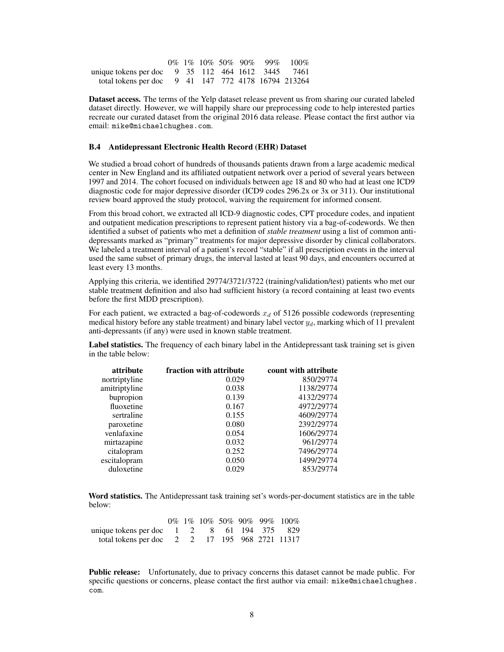|                                                     |  |  |  | $0\%$ 1\% 10\% 50\% 90\% 99\% 100\% |
|-----------------------------------------------------|--|--|--|-------------------------------------|
| unique tokens per doc 9 35 112 464 1612 3445 7461   |  |  |  |                                     |
| total tokens per doc 9 41 147 772 4178 16794 213264 |  |  |  |                                     |

Dataset access. The terms of the Yelp dataset release prevent us from sharing our curated labeled dataset directly. However, we will happily share our preprocessing code to help interested parties recreate our curated dataset from the original 2016 data release. Please contact the first author via email: <mike@michaelchughes.com>.

#### <span id="page-7-0"></span>B.4 Antidepressant Electronic Health Record (EHR) Dataset

We studied a broad cohort of hundreds of thousands patients drawn from a large academic medical center in New England and its affiliated outpatient network over a period of several years between 1997 and 2014. The cohort focused on individuals between age 18 and 80 who had at least one ICD9 diagnostic code for major depressive disorder (ICD9 codes 296.2x or 3x or 311). Our institutional review board approved the study protocol, waiving the requirement for informed consent.

From this broad cohort, we extracted all ICD-9 diagnostic codes, CPT procedure codes, and inpatient and outpatient medication prescriptions to represent patient history via a bag-of-codewords. We then identified a subset of patients who met a definition of *stable treatment* using a list of common antidepressants marked as "primary" treatments for major depressive disorder by clinical collaborators. We labeled a treatment interval of a patient's record "stable" if all prescription events in the interval used the same subset of primary drugs, the interval lasted at least 90 days, and encounters occurred at least every 13 months.

Applying this criteria, we identified 29774/3721/3722 (training/validation/test) patients who met our stable treatment definition and also had sufficient history (a record containing at least two events before the first MDD prescription).

For each patient, we extracted a bag-of-codewords  $x_d$  of 5126 possible codewords (representing medical history before any stable treatment) and binary label vector  $y_d$ , marking which of 11 prevalent anti-depressants (if any) were used in known stable treatment.

Label statistics. The frequency of each binary label in the Antidepressant task training set is given in the table below:

| count with attribute |
|----------------------|
| 850/29774            |
| 1138/29774           |
| 4132/29774           |
| 4972/29774           |
| 4609/29774           |
| 2392/29774           |
| 1606/29774           |
| 961/29774            |
| 7496/29774           |
| 1499/29774           |
| 853/29774            |
|                      |

Word statistics. The Antidepressant task training set's words-per-document statistics are in the table below:

|                                                                |  |  |  | 0% 1% 10% 50% 90% 99% 100% |
|----------------------------------------------------------------|--|--|--|----------------------------|
| unique tokens per doc $1 \t 2 \t 8 \t 61 \t 194 \t 375 \t 829$ |  |  |  |                            |
| total tokens per doc 2 2 17 195 968 2721 11317                 |  |  |  |                            |

Public release: Unfortunately, due to privacy concerns this dataset cannot be made public. For specific questions or concerns, please contact the first author via email: [mike@michaelchughes.](mike@michaelchughes.com) [com](mike@michaelchughes.com).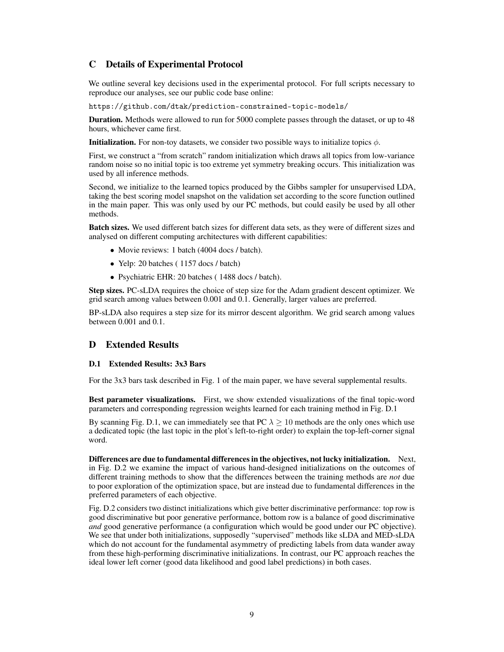# <span id="page-8-0"></span>C Details of Experimental Protocol

We outline several key decisions used in the experimental protocol. For full scripts necessary to reproduce our analyses, see our public code base online:

<https://github.com/dtak/prediction-constrained-topic-models/>

Duration. Methods were allowed to run for 5000 complete passes through the dataset, or up to 48 hours, whichever came first.

**Initialization.** For non-toy datasets, we consider two possible ways to initialize topics  $\phi$ .

First, we construct a "from scratch" random initialization which draws all topics from low-variance random noise so no initial topic is too extreme yet symmetry breaking occurs. This initialization was used by all inference methods.

Second, we initialize to the learned topics produced by the Gibbs sampler for unsupervised LDA, taking the best scoring model snapshot on the validation set according to the score function outlined in the main paper. This was only used by our PC methods, but could easily be used by all other methods.

Batch sizes. We used different batch sizes for different data sets, as they were of different sizes and analysed on different computing architectures with different capabilities:

- Movie reviews: 1 batch (4004 docs / batch).
- Yelp: 20 batches (1157 docs / batch)
- Psychiatric EHR: 20 batches (1488 docs / batch).

Step sizes. PC-sLDA requires the choice of step size for the Adam gradient descent optimizer. We grid search among values between 0.001 and 0.1. Generally, larger values are preferred.

BP-sLDA also requires a step size for its mirror descent algorithm. We grid search among values between 0.001 and 0.1.

# <span id="page-8-1"></span>D Extended Results

## <span id="page-8-2"></span>D.1 Extended Results: 3x3 Bars

For the 3x3 bars task described in Fig. 1 of the main paper, we have several supplemental results.

Best parameter visualizations. First, we show extended visualizations of the final topic-word parameters and corresponding regression weights learned for each training method in Fig. [D.1](#page-9-0)

By scanning Fig. [D.1,](#page-9-0) we can immediately see that PC  $\lambda > 10$  methods are the only ones which use a dedicated topic (the last topic in the plot's left-to-right order) to explain the top-left-corner signal word.

Differences are due to fundamental differences in the objectives, not lucky initialization. Next, in Fig. [D.2](#page-10-0) we examine the impact of various hand-designed initializations on the outcomes of different training methods to show that the differences between the training methods are *not* due to poor exploration of the optimization space, but are instead due to fundamental differences in the preferred parameters of each objective.

Fig. [D.2](#page-10-0) considers two distinct initializations which give better discriminative performance: top row is good discriminative but poor generative performance, bottom row is a balance of good discriminative *and* good generative performance (a configuration which would be good under our PC objective). We see that under both initializations, supposedly "supervised" methods like sLDA and MED-sLDA which do not account for the fundamental asymmetry of predicting labels from data wander away from these high-performing discriminative initializations. In contrast, our PC approach reaches the ideal lower left corner (good data likelihood and good label predictions) in both cases.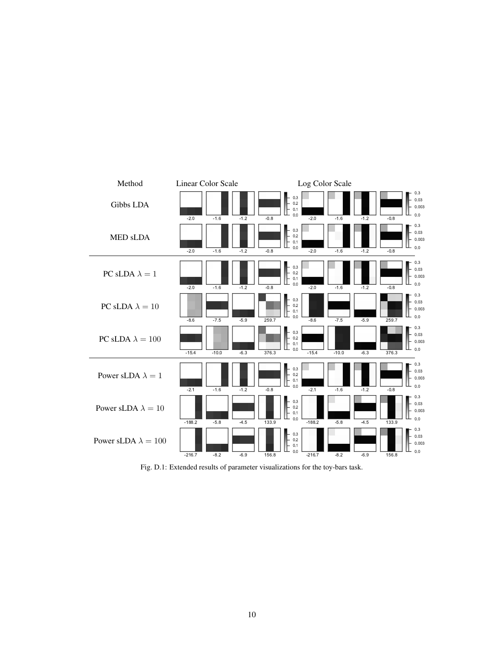<span id="page-9-0"></span>

Fig. D.1: Extended results of parameter visualizations for the toy-bars task.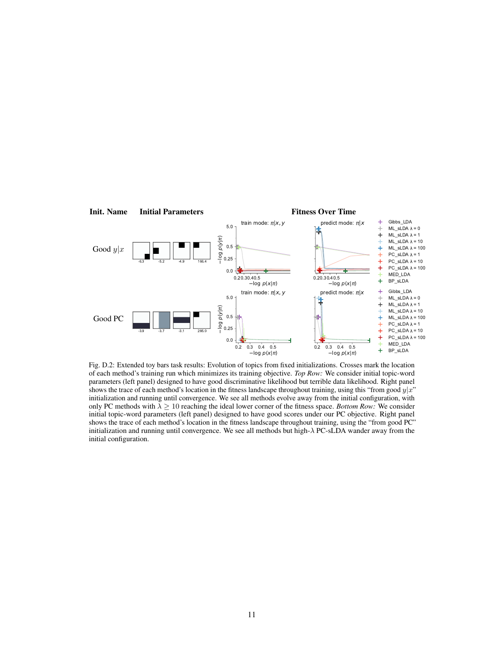<span id="page-10-0"></span>

Fig. D.2: Extended toy bars task results: Evolution of topics from fixed initializations. Crosses mark the location of each method's training run which minimizes its training objective. *Top Row:* We consider initial topic-word parameters (left panel) designed to have good discriminative likelihood but terrible data likelihood. Right panel shows the trace of each method's location in the fitness landscape throughout training, using this "from good  $y|x$ " initialization and running until convergence. We see all methods evolve away from the initial configuration, with only PC methods with  $\lambda > 10$  reaching the ideal lower corner of the fitness space. *Bottom Row:* We consider initial topic-word parameters (left panel) designed to have good scores under our PC objective. Right panel shows the trace of each method's location in the fitness landscape throughout training, using the "from good PC" initialization and running until convergence. We see all methods but high-λ PC-sLDA wander away from the initial configuration.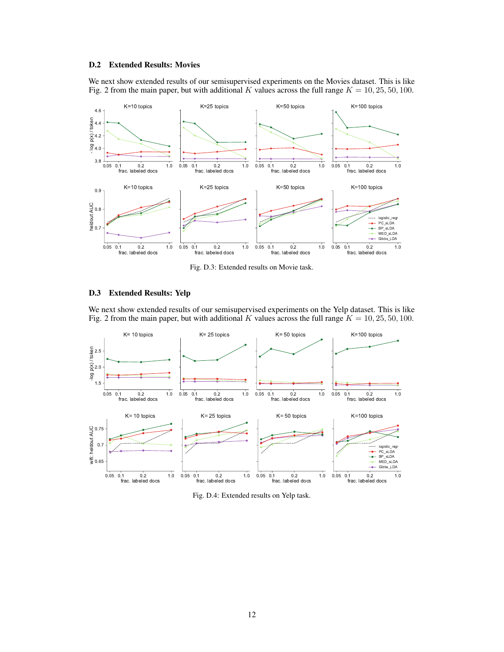## <span id="page-11-0"></span>D.2 Extended Results: Movies

We next show extended results of our semisupervised experiments on the Movies dataset. This is like Fig. 2 from the main paper, but with additional K values across the full range  $K = 10, 25, 50, 100$ .



Fig. D.3: Extended results on Movie task.

#### <span id="page-11-1"></span>D.3 Extended Results: Yelp

We next show extended results of our semisupervised experiments on the Yelp dataset. This is like Fig. 2 from the main paper, but with additional K values across the full range  $K = 10, 25, 50, 100$ .



Fig. D.4: Extended results on Yelp task.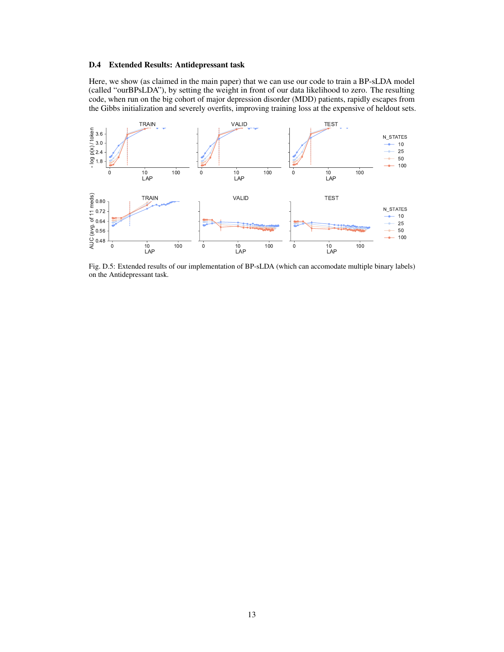#### <span id="page-12-0"></span>D.4 Extended Results: Antidepressant task

Here, we show (as claimed in the main paper) that we can use our code to train a BP-sLDA model (called "ourBPsLDA"), by setting the weight in front of our data likelihood to zero. The resulting code, when run on the big cohort of major depression disorder (MDD) patients, rapidly escapes from the Gibbs initialization and severely overfits, improving training loss at the expensive of heldout sets.



Fig. D.5: Extended results of our implementation of BP-sLDA (which can accomodate multiple binary labels) on the Antidepressant task.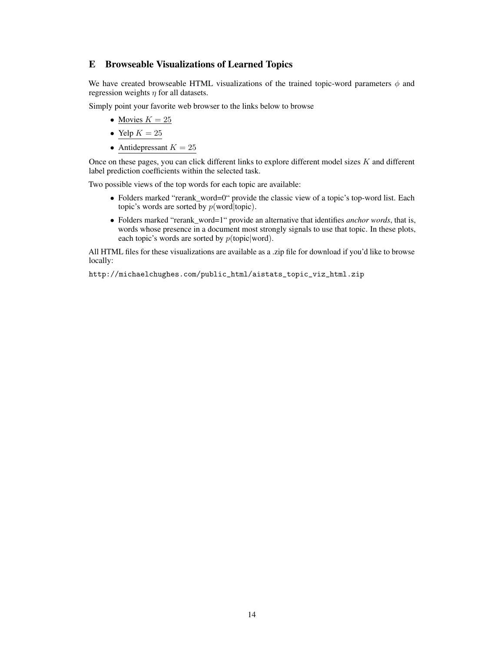# <span id="page-13-0"></span>E Browseable Visualizations of Learned Topics

We have created browseable HTML visualizations of the trained topic-word parameters  $\phi$  and regression weights  $\eta$  for all datasets.

Simply point your favorite web browser to the links below to browse

- [Movies](http://michaelchughes.com/public_html/aistats2018_topic_viz_html/movies/rerank_words=0/LEGEND_NAME=PC_sLDA-LABEL_NAME=more_than_2_out_of_4_stars-FRAC_LABELS=1.0-N_STATES=25.0.html)  $K = 25$
- Yelp  $K = 25$  $K = 25$
- [Antidepressant](http://michaelchughes.com/public_html/aistats2018_topic_viz_html/antidepressant/rerank_words=0/LEGEND_NAME=PC_sLDA-LABEL_NAME=citalopram-FRAC_LABELS=1-N_STATES=25.0.html)  $K = 25$

Once on these pages, you can click different links to explore different model sizes K and different label prediction coefficients within the selected task.

Two possible views of the top words for each topic are available:

- Folders marked "rerank\_word=0" provide the classic view of a topic's top-word list. Each topic's words are sorted by  $p(\text{word}|\text{topic})$ .
- Folders marked "rerank\_word=1" provide an alternative that identifies *anchor words*, that is, words whose presence in a document most strongly signals to use that topic. In these plots, each topic's words are sorted by  $p$ (topic|word).

All HTML files for these visualizations are available as a .zip file for download if you'd like to browse locally:

[http://michaelchughes.com/public\\_html/aistats\\_topic\\_viz\\_html.zip](http://michaelchughes.com/public_html/aistats_topic_viz_html.zip)